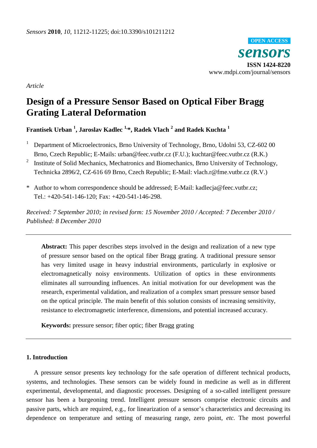

*Article*

# **Design of a Pressure Sensor Based on Optical Fiber Bragg Grating Lateral Deformation**

# **Frantisek Urban <sup>1</sup> , Jaroslav Kadlec 1,\*, Radek Vlach <sup>2</sup> and Radek Kuchta <sup>1</sup>**

- <sup>1</sup> Department of Microelectronics, Brno University of Technology, Brno, Udolni 53, CZ-602 00 Brno, Czech Republic; E-Mails: urban@feec.vutbr.cz (F.U.); kuchtar@feec.vutbr.cz (R.K.)
- 2 Institute of Solid Mechanics, Mechatronics and Biomechanics, Brno University of Technology, Technicka 2896/2, CZ-616 69 Brno, Czech Republic; E-Mail: vlach.r@fme.vutbr.cz (R.V.)
- \* Author to whom correspondence should be addressed; E-Mail: kadlecja@feec.vutbr.cz; Tel.: +420-541-146-120; Fax: +420-541-146-298.

*Received: 7 September 2010; in revised form: 15 November 2010 / Accepted: 7 December 2010 / Published: 8 December 2010*

**Abstract:** This paper describes steps involved in the design and realization of a new type of pressure sensor based on the optical fiber Bragg grating. A traditional pressure sensor has very limited usage in heavy industrial environments, particularly in explosive or electromagnetically noisy environments. Utilization of optics in these environments eliminates all surrounding influences. An initial motivation for our development was the research, experimental validation, and realization of a complex smart pressure sensor based on the optical principle. The main benefit of this solution consists of increasing sensitivity, resistance to electromagnetic interference, dimensions, and potential increased accuracy.

**Keywords:** pressure sensor; fiber optic; fiber Bragg grating

# **1. Introduction**

A pressure sensor presents key technology for the safe operation of different technical products, systems, and technologies. These sensors can be widely found in medicine as well as in different experimental, developmental, and diagnostic processes. Designing of a so-called intelligent pressure sensor has been a burgeoning trend. Intelligent pressure sensors comprise electronic circuits and passive parts, which are required, e.g., for linearization of a sensor's characteristics and decreasing its dependence on temperature and setting of measuring range, zero point, *etc.* The most powerful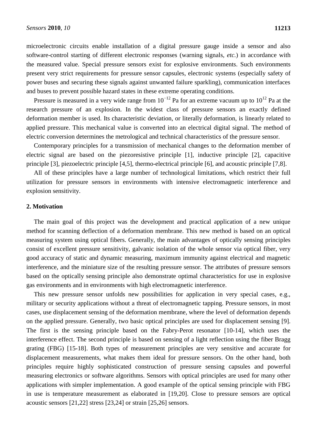microelectronic circuits enable installation of a digital pressure gauge inside a sensor and also software-control starting of different electronic responses (warning signals, *etc.*) in accordance with the measured value. Special pressure sensors exist for explosive environments. Such environments present very strict requirements for pressure sensor capsules, electronic systems (especially safety of power buses and securing these signals against unwanted failure sparkling), communication interfaces and buses to prevent possible hazard states in these extreme operating conditions.

Pressure is measured in a very wide range from  $10^{-12}$  Pa for an extreme vacuum up to  $10^{12}$  Pa at the research pressure of an explosion. In the widest class of pressure sensors an exactly defined deformation member is used. Its characteristic deviation, or literally deformation, is linearly related to applied pressure. This mechanical value is converted into an electrical digital signal. The method of electric conversion determines the metrological and technical characteristics of the pressure sensor.

Contemporary principles for a transmission of mechanical changes to the deformation member of electric signal are based on the piezoresistive principle [1], inductive principle [2], capacitive principle [3], piezoelectric principle [4,5], thermo-electrical principle [6], and acoustic principle [7,8].

All of these principles have a large number of technological limitations, which restrict their full utilization for pressure sensors in environments with intensive electromagnetic interference and explosion sensitivity.

# **2. Motivation**

The main goal of this project was the development and practical application of a new unique method for scanning deflection of a deformation membrane. This new method is based on an optical measuring system using optical fibers. Generally, the main advantages of optically sensing principles consist of excellent pressure sensitivity, galvanic isolation of the whole sensor via optical fiber, very good accuracy of static and dynamic measuring, maximum immunity against electrical and magnetic interference, and the miniature size of the resulting pressure sensor. The attributes of pressure sensors based on the optically sensing principle also demonstrate optimal characteristics for use in explosive gas environments and in environments with high electromagnetic interference.

This new pressure sensor unfolds new possibilities for application in very special cases, e.g., military or security applications without a threat of electromagnetic tapping. Pressure sensors, in most cases, use displacement sensing of the deformation membrane, where the level of deformation depends on the applied pressure. Generally, two basic optical principles are used for displacement sensing [9]. The first is the sensing principle based on the Fabry-Perot resonator [10-14], which uses the interference effect. The second principle is based on sensing of a light reflection using the fiber Bragg grating (FBG) [15-18]. Both types of measurement principles are very sensitive and accurate for displacement measurements, what makes them ideal for pressure sensors. On the other hand, both principles require highly sophisticated construction of pressure sensing capsules and powerful measuring electronics or software algorithms. Sensors with optical principles are used for many other applications with simpler implementation. A good example of the optical sensing principle with FBG in use is temperature measurement as elaborated in [19,20]. Close to pressure sensors are optical acoustic sensors [21,22] stress [23,24] or strain [25,26] sensors.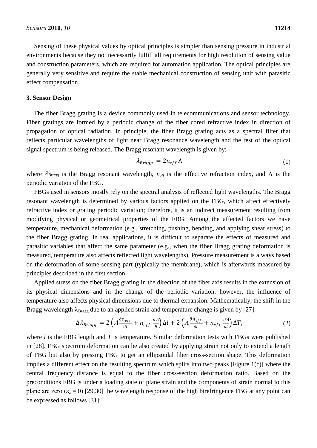Sensing of these physical values by optical principles is simpler than sensing pressure in industrial environments because they not necessarily fulfill all requirements for high resolution of sensing value and construction parameters, which are required for automation application. The optical principles are generally very sensitive and require the stable mechanical construction of sensing unit with parasitic effect compensation.

# **3. Sensor Design**

The fiber Bragg grating is a device commonly used in telecommunications and sensor technology. Fiber gratings are formed by a periodic change of the fiber cored refractive index in direction of propagation of optical radiation. In principle, the fiber Bragg grating acts as a spectral filter that reflects particular wavelengths of light near Bragg resonance wavelength and the rest of the optical signal spectrum is being released. The Bragg resonant wavelength is given by:

$$
\lambda_{Bragg} = 2n_{eff} \Lambda \tag{1}
$$

where  $\lambda_{Bragg}$  is the Bragg resonant wavelength,  $n_{\text{eff}}$  is the effective refraction index, and  $\Lambda$  is the periodic variation of the FBG.

FBGs used in sensors mostly rely on the spectral analysis of reflected light wavelengths. The Bragg resonant wavelength is determined by various factors applied on the FBG, which affect effectively refractive index or grating periodic variation; therefore, it is an indirect measurement resulting from modifying physical or geometrical properties of the FBG. Among the affected factors we have temperature, mechanical deformation (e.g., stretching, pushing, bending, and applying shear stress) to the fiber Bragg grating. In real applications, it is difficult to separate the effects of measured and parasitic variables that affect the same parameter (e.g., when the fiber Bragg grating deformation is measured, temperature also affects reflected light wavelengths). Pressure measurement is always based on the deformation of some sensing part (typically the membrane), which is afterwards measured by principles described in the first section.

Applied stress on the fiber Bragg grating in the direction of the fiber axis results in the extension of its physical dimensions and in the change of the periodic variation; however, the influence of temperature also affects physical dimensions due to thermal expansion. Mathematically, the shift in the Bragg wavelength  $\lambda_{\text{Bragg}}$  due to an applied strain and temperature change is given by [27]:

$$
\Delta \lambda_{Bragg} = 2\left(A\frac{\partial n_{eff}}{\partial l} + n_{eff}\frac{\partial A}{\partial l}\right)\Delta l + 2\left(A\frac{\partial n_{eff}}{\partial l} + n_{eff}\frac{\partial A}{\partial l}\right)\Delta T,\tag{2}
$$

where *l* is the FBG length and *T* is temperature. Similar deformation tests with FBGs were published in [28]. FBG spectrum deformation can be also created by applying strain not only to extend a length of FBG but also by pressing FBG to get an ellipsoidal fiber cross-section shape. This deformation implies a different effect on the resulting spectrum which splits into two peaks [Figure 1(c)] where the central frequency distance is equal to the fiber cross-section deformation ratio. Based on the preconditions FBG is under a loading state of plane strain and the components of strain normal to this plane are zero  $(\epsilon_z = 0)$  [29,30] the wavelength response of the high birefringence FBG at any point can be expressed as follows [31]: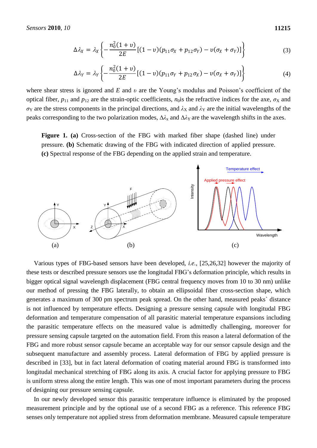$$
\Delta \lambda_X = \lambda_X \left\{ -\frac{n_0^2 (1+v)}{2E} \left[ (1-v)(p_{11} \sigma_X + p_{12} \sigma_Y) - v(\sigma_X + \sigma_Y) \right] \right\} \tag{3}
$$

$$
\Delta \lambda_Y = \lambda_Y \left\{ -\frac{n_0^2 (1+v)}{2E} [(1-v)(p_{11} \sigma_Y + p_{12} \sigma_X) - v(\sigma_X + \sigma_Y)] \right\}
$$
(4)

where shear stress is ignored and *E* and *υ* are the Young's modulus and Poisson's coefficient of the optical fiber,  $p_{11}$  and  $p_{12}$  are the strain-optic coefficients,  $n_0$  is the refractive indices for the axe,  $\sigma_X$  and  $\sigma_Y$  are the stress components in the principal directions, and  $\lambda_X$  and  $\lambda_Y$  are the initial wavelengths of the peaks corresponding to the two polarization modes,  $\Delta\lambda_x$  and  $\Delta\lambda_y$  are the wavelength shifts in the axes.

**Figure 1. (a)** Cross-section of the FBG with marked fiber shape (dashed line) under pressure. **(b)** Schematic drawing of the FBG with indicated direction of applied pressure. **(c)** Spectral response of the FBG depending on the applied strain and temperature.



Various types of FBG-based sensors have been developed, *i.e.*, [25,26,32] however the majority of these tests or described pressure sensors use the longitudal FBG's deformation principle, which results in bigger optical signal wavelength displacement (FBG central frequency moves from 10 to 30 nm) unlike our method of pressing the FBG laterally, to obtain an ellipsoidal fiber cross-section shape, which generates a maximum of 300 pm spectrum peak spread. On the other hand, measured peaks` distance is not influenced by temperature effects. Designing a pressure sensing capsule with longitudal FBG deformation and temperature compensation of all parasitic material temperature expansions including the parasitic temperature effects on the measured value is admittedly challenging, moreover for pressure sensing capsule targeted on the automation field. From this reason a lateral deformation of the FBG and more robust sensor capsule became an acceptable way for our sensor capsule design and the subsequent manufacture and assembly process. Lateral deformation of FBG by applied pressure is described in [33], but in fact lateral deformation of coating material around FBG is transformed into longitudal mechanical stretching of FBG along its axis. A crucial factor for applying pressure to FBG is uniform stress along the entire length. This was one of most important parameters during the process of designing our pressure sensing capsule.

In our newly developed sensor this parasitic temperature influence is eliminated by the proposed measurement principle and by the optional use of a second FBG as a reference. This reference FBG senses only temperature not applied stress from deformation membrane. Measured capsule temperature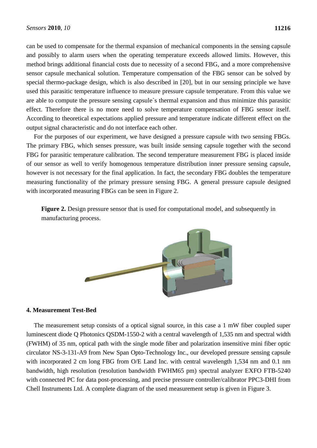can be used to compensate for the thermal expansion of mechanical components in the sensing capsule and possibly to alarm users when the operating temperature exceeds allowed limits. However, this method brings additional financial costs due to necessity of a second FBG, and a more comprehensive sensor capsule mechanical solution. Temperature compensation of the FBG sensor can be solved by special thermo-package design, which is also described in [20], but in our sensing principle we have used this parasitic temperature influence to measure pressure capsule temperature. From this value we are able to compute the pressure sensing capsule`s thermal expansion and thus minimize this parasitic effect. Therefore there is no more need to solve temperature compensation of FBG sensor itself. According to theoretical expectations applied pressure and temperature indicate different effect on the output signal characteristic and do not interface each other.

For the purposes of our experiment, we have designed a pressure capsule with two sensing FBGs. The primary FBG, which senses pressure, was built inside sensing capsule together with the second FBG for parasitic temperature calibration. The second temperature measurement FBG is placed inside of our sensor as well to verify homogenous temperature distribution inner pressure sensing capsule, however is not necessary for the final application. In fact, the secondary FBG doubles the temperature measuring functionality of the primary pressure sensing FBG. A general pressure capsule designed with incorporated measuring FBGs can be seen in Figure 2.

**Figure 2.** Design pressure sensor that is used for computational model, and subsequently in manufacturing process.



#### **4. Measurement Test-Bed**

The measurement setup consists of a optical signal source, in this case a 1 mW fiber coupled super luminescent diode Q Photonics QSDM-1550-2 with a central wavelength of 1,535 nm and spectral width (FWHM) of 35 nm, optical path with the single mode fiber and polarization insensitive mini fiber optic circulator NS-3-131-A9 from New Span Opto-Technology Inc., our developed pressure sensing capsule with incorporated 2 cm long FBG from O/E Land Inc. with central wavelength 1,534 nm and 0.1 nm bandwidth, high resolution (resolution bandwidth FWHM65 pm) spectral analyzer EXFO FTB-5240 with connected PC for data post-processing, and precise pressure controller/calibrator PPC3-DHI from Chell Instruments Ltd. A complete diagram of the used measurement setup is given in Figure 3.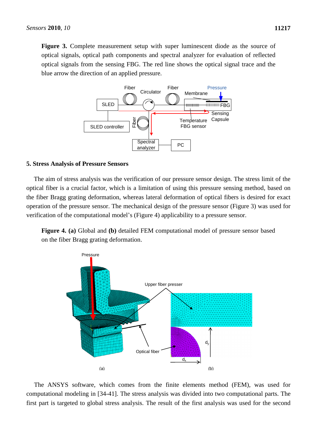**Figure 3.** Complete measurement setup with super luminescent diode as the source of optical signals, optical path components and spectral analyzer for evaluation of reflected optical signals from the sensing FBG. The red line shows the optical signal trace and the blue arrow the direction of an applied pressure.



#### **5. Stress Analysis of Pressure Sensors**

The aim of stress analysis was the verification of our pressure sensor design. The stress limit of the optical fiber is a crucial factor, which is a limitation of using this pressure sensing method, based on the fiber Bragg grating deformation, whereas lateral deformation of optical fibers is desired for exact operation of the pressure sensor. The mechanical design of the pressure sensor (Figure 3) was used for verification of the computational model's (Figure 4) applicability to a pressure sensor.

**Figure 4. (a)** Global and **(b)** detailed FEM computational model of pressure sensor based on the fiber Bragg grating deformation.



The ANSYS software, which comes from the finite elements method (FEM), was used for computational modeling in [34-41]. The stress analysis was divided into two computational parts. The first part is targeted to global stress analysis. The result of the first analysis was used for the second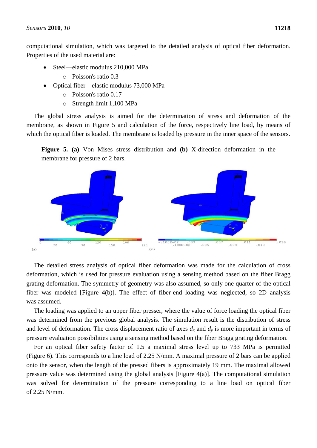computational simulation, which was targeted to the detailed analysis of optical fiber deformation. Properties of the used material are:

- Steel—elastic modulus 210,000 MPa
	- o Poisson's ratio 0.3
- Optical fiber—elastic modulus 73,000 MPa
	- o Poisson's ratio 0.17
	- o Strength limit 1,100 MPa

The global stress analysis is aimed for the determination of stress and deformation of the membrane, as shown in Figure 5 and calculation of the force, respectively line load, by means of which the optical fiber is loaded. The membrane is loaded by pressure in the inner space of the sensors.

**Figure 5. (a)** Von Mises stress distribution and **(b)** X-direction deformation in the membrane for pressure of 2 bars.



The detailed stress analysis of optical fiber deformation was made for the calculation of cross deformation, which is used for pressure evaluation using a sensing method based on the fiber Bragg grating deformation. The symmetry of geometry was also assumed, so only one quarter of the optical fiber was modeled [Figure 4(b)]. The effect of fiber-end loading was neglected, so 2D analysis was assumed.

The loading was applied to an upper fiber presser, where the value of force loading the optical fiber was determined from the previous global analysis. The simulation result is the distribution of stress and level of deformation. The cross displacement ratio of axes  $d_x$  and  $d_y$  is more important in terms of pressure evaluation possibilities using a sensing method based on the fiber Bragg grating deformation.

For an optical fiber safety factor of 1.5 a maximal stress level up to 733 MPa is permitted (Figure 6). This corresponds to a line load of 2.25 N/mm. A maximal pressure of 2 bars can be applied onto the sensor, when the length of the pressed fibers is approximately 19 mm. The maximal allowed pressure value was determined using the global analysis [Figure 4(a)]. The computational simulation was solved for determination of the pressure corresponding to a line load on optical fiber of 2.25 N/mm.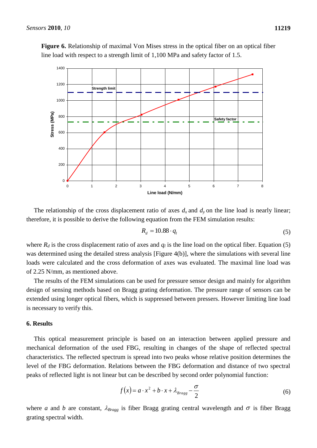

**Figure 6.** Relationship of maximal Von Mises stress in the optical fiber on an optical fiber line load with respect to a strength limit of 1,100 MPa and safety factor of 1.5.

The relationship of the cross displacement ratio of axes  $d_x$  and  $d_y$  on the line load is nearly linear; therefore, it is possible to derive the following equation from the FEM simulation results:

$$
R_d = 10.88 \cdot q_l \tag{5}
$$

where  $R_d$  is the cross displacement ratio of axes and  $q_l$  is the line load on the optical fiber. Equation (5) was determined using the detailed stress analysis [Figure 4(b)], where the simulations with several line loads were calculated and the cross deformation of axes was evaluated. The maximal line load was of 2.25 N/mm, as mentioned above.

The results of the FEM simulations can be used for pressure sensor design and mainly for algorithm design of sensing methods based on Bragg grating deformation. The pressure range of sensors can be extended using longer optical fibers, which is suppressed between pressers. However limiting line load is necessary to verify this.

# **6. Results**

This optical measurement principle is based on an interaction between applied pressure and mechanical deformation of the used FBG, resulting in changes of the shape of reflected spectral characteristics. The reflected spectrum is spread into two peaks whose relative position determines the level of the FBG deformation. Relations between the FBG deformation and distance of two spectral peaks of reflected light is not linear but can be described by second order polynomial function:

$$
f(x) = a \cdot x^2 + b \cdot x + \lambda_{Bragg} - \frac{\sigma}{2}
$$
 (6)

where *a* and *b* are constant,  $\lambda_{Bragg}$  is fiber Bragg grating central wavelength and  $\sigma$  is fiber Bragg grating spectral width.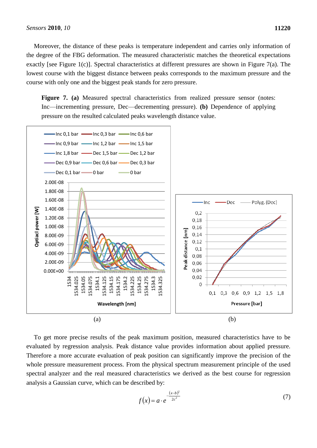Moreover, the distance of these peaks is temperature independent and carries only information of the degree of the FBG deformation. The measured characteristic matches the theoretical expectations exactly [see Figure 1(c)]. Spectral characteristics at different pressures are shown in Figure 7(a). The lowest course with the biggest distance between peaks corresponds to the maximum pressure and the course with only one and the biggest peak stands for zero pressure.

Figure 7. (a) Measured spectral characteristics from realized pressure sensor (notes: Inc—incrementing pressure, Dec—decrementing pressure). **(b)** Dependence of applying pressure on the resulted calculated peaks wavelength distance value.



To get more precise results of the peak maximum position, measured characteristics have to be evaluated by regression analysis. Peak distance value provides information about applied pressure. Therefore a more accurate evaluation of peak position can significantly improve the precision of the whole pressure measurement process. From the physical spectrum measurement principle of the used spectral analyzer and the real measured characteristics we derived as the best course for regression analysis a Gaussian curve, which can be described by:

$$
f(x) = a \cdot e^{-\frac{(x-b)^2}{2c^2}}
$$
 (7)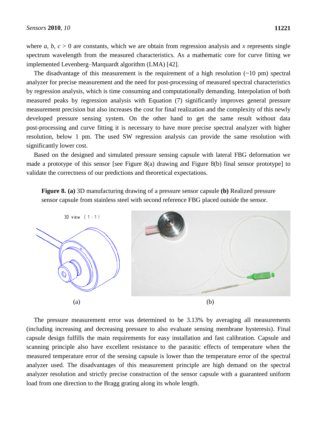where *a*, *b*,  $c > 0$  are constants, which we are obtain from regression analysis and *x* represents single spectrum wavelength from the measured characteristics. As a mathematic core for curve fitting we implemented Levenberg–Marquardt algorithm (LMA) [42].

The disadvantage of this measurement is the requirement of a high resolution  $(\sim 10 \text{ pm})$  spectral analyzer for precise measurement and the need for post-processing of measured spectral characteristics by regression analysis, which is time consuming and computationally demanding. Interpolation of both measured peaks by regression analysis with Equation (7) significantly improves general pressure measurement precision but also increases the cost for final realization and the complexity of this newly developed pressure sensing system. On the other hand to get the same result without data post-processing and curve fitting it is necessary to have more precise spectral analyzer with higher resolution, below 1 pm. The used SW regression analysis can provide the same resolution with significantly lower cost.

Based on the designed and simulated pressure sensing capsule with lateral FBG deformation we made a prototype of this sensor [see Figure 8(a) drawing and Figure 8(b) final sensor prototype] to validate the correctness of our predictions and theoretical expectations.

**Figure 8. (a)** 3D manufacturing drawing of a pressure sensor capsule **(b)** Realized pressure sensor capsule from stainless steel with second reference FBG placed outside the sensor.



The pressure measurement error was determined to be 3.13% by averaging all measurements (including increasing and decreasing pressure to also evaluate sensing membrane hysteresis). Final capsule design fulfills the main requirements for easy installation and fast calibration. Capsule and scanning principle also have excellent resistance to the parasitic effects of temperature when the measured temperature error of the sensing capsule is lower than the temperature error of the spectral analyzer used. The disadvantages of this measurement principle are high demand on the spectral analyzer resolution and strictly precise construction of the sensor capsule with a guaranteed uniform load from one direction to the Bragg grating along its whole length.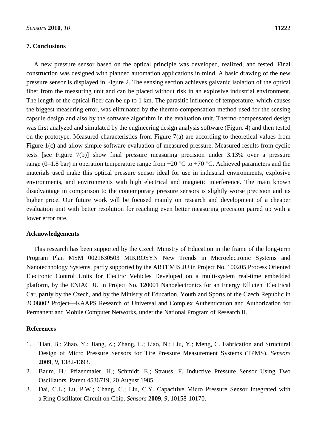# **7. Conclusions**

A new pressure sensor based on the optical principle was developed, realized, and tested. Final construction was designed with planned automation applications in mind. A basic drawing of the new pressure sensor is displayed in Figure 2. The sensing section achieves galvanic isolation of the optical fiber from the measuring unit and can be placed without risk in an explosive industrial environment. The length of the optical fiber can be up to 1 km. The parasitic influence of temperature, which causes the biggest measuring error, was eliminated by the thermo-compensation method used for the sensing capsule design and also by the software algorithm in the evaluation unit. Thermo-compensated design was first analyzed and simulated by the engineering design analysis software (Figure 4) and then tested on the prototype. Measured characteristics from Figure 7(a) are according to theoretical values from Figure 1(c) and allow simple software evaluation of measured pressure. Measured results from cyclic tests [see Figure 7(b)] show final pressure measuring precision under 3.13% over a pressure range (0–1.8 bar) in operation temperature range from  $-20$  °C to +70 °C. Achieved parameters and the materials used make this optical pressure sensor ideal for use in industrial environments, explosive environments, and environments with high electrical and magnetic interference. The main known disadvantage in comparison to the contemporary pressure sensors is slightly worse precision and its higher price. Our future work will be focused mainly on research and development of a cheaper evaluation unit with better resolution for reaching even better measuring precision paired up with a lower error rate.

# **Acknowledgements**

This research has been supported by the Czech Ministry of Education in the frame of the long-term Program Plan MSM 0021630503 MIKROSYN New Trends in Microelectronic Systems and Nanotechnology Systems, partly supported by the ARTEMIS JU in Project No. 100205 Process Oriented Electronic Control Units for Electric Vehicles Developed on a multi-system real-time embedded platform, by the ENIAC JU in Project No. 120001 Nanoelectronics for an Energy Efficient Electrical Car, partly by the Czech, and by the Ministry of Education, Youth and Sports of the Czech Republic in 2C08002 Project—KAAPS Research of Universal and Complex Authentication and Authorization for Permanent and Mobile Computer Networks, under the National Program of Research II.

# **References**

- 1. Tian, B.; Zhao, Y.; Jiang, Z.; Zhang, L.; Liao, N.; Liu, Y.; Meng, C. Fabrication and Structural Design of Micro Pressure Sensors for Tire Pressure Measurement Systems (TPMS). *Sensors* **2009**, *9*, 1382-1393.
- 2. Baum, H.; Pfizenmaier, H.; Schmidt, E.; Strauss, F. Inductive Pressure Sensor Using Two Oscillators. Patent 4536719, 20 August 1985.
- 3. Dai, C.L.; Lu, P.W.; Chang, C.; Liu, C.Y. Capacitive Micro Pressure Sensor Integrated with a Ring Oscillator Circuit on Chip. *Sensors* **2009**, *9*, 10158-10170.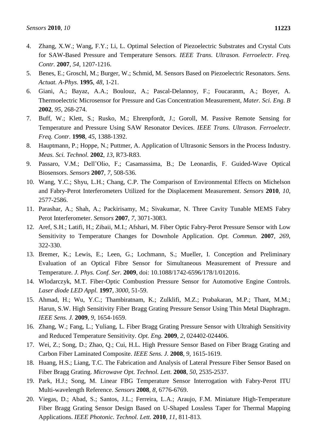- 4. Zhang, X.W.; Wang, F.Y.; Li, L. Optimal Selection of Piezoelectric Substrates and Crystal Cuts for SAW-Based Pressure and Temperature Sensors*. IEEE Trans. Ultrason. Ferroelectr. Freq. Contr.* **2007**, *54*, 1207-1216.
- 5. Benes, E.; Groschl, M.; Burger, W.; Schmid, M. Sensors Based on Piezoelectric Resonators. *Sens. Actuat. A-Phys.* **1995**, *48*, 1-21.
- 6. Giani, A.; Bayaz, A.A.; Boulouz, A.; Pascal-Delannoy, F.; Foucaranm, A.; Boyer, A. Thermoelectric Microsensor for Pressure and Gas Concentration Measurement, *Mater. Sci. Eng. B* **2002**, *95*, 268-274.
- 7. Buff, W.; Klett, S.; Rusko, M.; Ehrenpfordt, J.; Goroll, M. Passive Remote Sensing for Temperature and Pressure Using SAW Resonator Devices. *IEEE Trans. Ultrason. Ferroelectr. Freq. Contr.* **1998**, *45*, 1388-1392.
- 8. Hauptmann, P.; Hoppe, N.; Puttmer, A. Application of Ultrasonic Sensors in the Process Industry. *Meas. Sci. Technol.* **2002**, *13*, R73-R83.
- 9. Passaro, V.M.; Dell'Olio, F.; Casamassima, B.; De Leonardis, F. Guided-Wave Optical Biosensors. *Sensors* **2007**, *7*, 508-536.
- 10. Wang, Y.C.; Shyu, L.H.; Chang, C.P. The Comparison of Environmental Effects on Michelson and Fabry-Perot Interferometers Utilized for the Displacement Measurement. *Sensors* **2010**, *10*, 2577-2586.
- 11. Parashar, A.; Shah, A.; Packirisamy, M.; Sivakumar, N. Three Cavity Tunable MEMS Fabry Perot Interferometer. *Sensors* **2007**, *7*, 3071-3083.
- 12. Aref, S.H.; Latifi, H.; Zibaii, M.I.; Afshari, M. Fiber Optic Fabry-Perot Pressure Sensor with Low Sensitivity to Temperature Changes for Downhole Application. *Opt. Commun.* **2007**, *269*, 322-330.
- 13. Bremer, K.; Lewis, E.; Leen, G.; Lochmann, S.; Mueller, I. Conception and Preliminary Evaluation of an Optical Fibre Sensor for Simultaneous Measurement of Pressure and Temperature. *J. Phys. Conf. Ser.* **2009**, doi: 10.1088/1742-6596/178/1/012016.
- 14. Wlodarczyk, M.T. Fiber-Optic Combustion Pressure Sensor for Automotive Engine Controls. *Laser diode LED Appl.* **1997**, *3000*, 51-59.
- 15. Ahmad, H.; Wu, Y.C.; Thambiratnam, K.; Zulklifi, M.Z.; Prabakaran, M.P.; Thant, M.M.; Harun, S.W. High Sensitivity Fiber Bragg Grating Pressure Sensor Using Thin Metal Diaphragm. *IEEE Sens. J.* **2009**, *9*, 1654-1659.
- 16. Zhang, W.; Fang, L.; Yuliang, L. Fiber Bragg Grating Pressure Sensor with Ultrahigh Sensitivity and Reduced Temperature Sensitivity. *Opt. Eng.* **2009**, *2*, 024402-024406.
- 17. Wei, Z.; Song, D.; Zhao, Q.; Cui, H.L. High Pressure Sensor Based on Fiber Bragg Grating and Carbon Fiber Laminated Composite. *IEEE Sens. J.* **2008**, *9*, 1615-1619.
- 18. Huang, H.S.; Liang, T.C. The Fabrication and Analysis of Lateral Pressure Fiber Sensor Based on Fiber Bragg Grating. *Microwave Opt. Technol. Lett.* **2008**, *50*, 2535-2537.
- 19. Park, H.J.; Song, M. Linear FBG Temperature Sensor Interrogation with Fabry-Perot ITU Multi-wavelength Reference. *Sensors* **2008**, *8*, 6776-6769.
- 20. Viegas, D.; Abad, S.; Santos, J.L.; Ferreira, L.A.; Araujo, F.M. Miniature High-Temperature Fiber Bragg Grating Sensor Design Based on U-Shaped Lossless Taper for Thermal Mapping Applications. *IEEE Photonic. Technol. Lett.* **2010**, *11*, 811-813.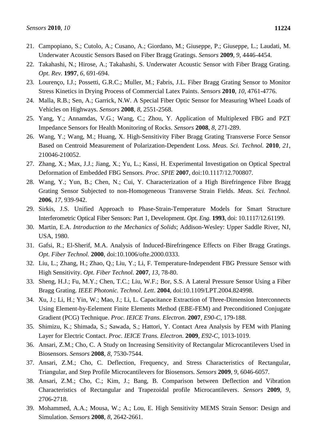- 21. Campopiano, S.; Cutolo, A.; Cusano, A.; Giordano, M.; Giuseppe, P.; Giuseppe, L.; Laudati, M. Underwater Acoustic Sensors Based on Fiber Bragg Gratings. *Sensors* **2009**, *9*, 4446-4454.
- 22. Takahashi, N.; Hirose, A.; Takahashi, S. Underwater Acoustic Sensor with Fiber Bragg Grating. *Opt. Rev.* **1997**, *6*, 691-694.
- 23. Lourenço, I.J.; Possetti, G.R.C.; Muller, M.; Fabris, J.L. Fiber Bragg Grating Sensor to Monitor Stress Kinetics in Drying Process of Commercial Latex Paints. *Sensors* **2010**, *10*, 4761-4776.
- 24. Malla, R.B.; Sen, A.; Garrick, N.W. A Special Fiber Optic Sensor for Measuring Wheel Loads of Vehicles on Highways. *Sensors* **2008**, *8*, 2551-2568.
- 25. Yang, Y.; Annamdas, V.G.; Wang, C.; Zhou, Y. Application of Multiplexed FBG and PZT Impedance Sensors for Health Monitoring of Rocks. *Sensors* **2008**, *8*, 271-289.
- 26. Wang, Y.; Wang, M.; Huang, X. High-Sensitivity Fiber Bragg Grating Transverse Force Sensor Based on Centroid Measurement of Polarization-Dependent Loss. *Meas. Sci. Technol.* **2010**, *21*, 210046-210052.
- 27. Zhang, X.; Max, J.J.; Jiang, X.; Yu, L.; Kassi, H. Experimental Investigation on Optical Spectral Deformation of Embedded FBG Sensors. *Proc. SPIE* **2007**, doi:10.1117/12.700807.
- 28. Wang, Y.; Yun, B.; Chen, N.; Cui, Y. Characterization of a High Birefringence Fibre Bragg Grating Sensor Subjected to non-Homogeneous Transverse Strain Fields. *Meas. Sci. Technol.* **2006**, *17*, 939-942.
- 29. Sirkis, J.S. Unified Approach to Phase-Strain-Temperature Models for Smart Structure Interferometric Optical Fiber Sensors: Part 1, Development. *Opt. Eng.* **1993**, doi: 10.1117/12.61199.
- 30. Martin, E.A. *Introduction to the Mechanics of Solids*; Addison-Wesley: Upper Saddle River, NJ, USA, 1980.
- 31. Gafsi, R.; El-Sherif, M.A. Analysis of Induced-Birefringence Effects on Fiber Bragg Gratings. *Opt. Fiber Technol.* **2000**, doi:10.1006/ofte.2000.0333.
- 32. Liu, L.; Zhang, H.; Zhao, Q.; Liu, Y.; Li, F. Temperature-Independent FBG Pressure Sensor with High Sensitivity. *Opt. Fiber Technol.* **2007**, *13*, 78-80.
- 33. Sheng, H.J.; Fu, M.Y.; Chen, T.C.; Liu, W.F.; Bor, S.S. A Lateral Pressure Sensor Using a Fiber Bragg Grating. *IEEE Photonic. Technol. Lett*. **2004**, doi:10.1109/LPT.2004.824998.
- 34. Xu, J.; Li, H.; Yin, W.; Mao, J.; Li, L. Capacitance Extraction of Three-Dimension Interconnects Using Element-by-Eelement Finite Elements Method (EBE-FEM) and Preconditioned Conjugate Gradient (PCG) Technique. *Proc. IEICE Trans. Electron.* **2007**, *E90-C*, 179-188.
- 35. Shimizu, K.; Shimada, S.; Sawada, S.; Hattori, Y. Contact Area Analysis by FEM with Planing Layer for Electric Contact. *Proc. IEICE Trans. Electron.* **2009**, *E92-C*, 1013-1019.
- 36. Ansari, Z.M.; Cho, C. A Study on Increasing Sensitivity of Rectangular Microcantilevers Used in Biosensors. *Sensors* **2008**, *8*, 7530-7544.
- 37. Ansari, Z.M.; Cho, C. Deflection, Frequency, and Stress Characteristics of Rectangular, Triangular, and Step Profile Microcantilevers for Biosensors. *Sensors* **2009**, *9*, 6046-6057.
- 38. Ansari, Z.M.; Cho, C.; Kim, J.; Bang, B. Comparison between Deflection and Vibration Characteristics of Rectangular and Trapezoidal profile Microcantilevers. *Sensors* **2009**, *9*, 2706-2718.
- 39. Mohammed, A.A.; Mousa, W.; A.; Lou, E. High Sensitivity MEMS Strain Sensor: Design and Simulation. *Sensors* **2008**, *8*, 2642-2661.